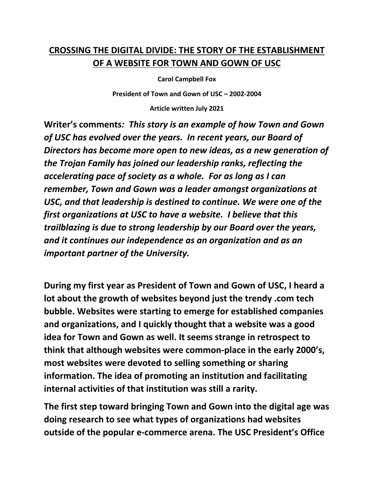## **CROSSING THE DIGITAL DIVIDE: THE STORY OF THE ESTABLISHMENT OF A WEBSITE FOR TOWN AND GOWN OF USC**

**Carol Campbell Fox** 

**President of Town and Gown of USC – 2002-2004** 

**Article written July 2021** 

**Writer's comments***: This story is an example of how Town and Gown of USC has evolved over the years. In recent years, our Board of Directors has become more open to new ideas, as a new generation of the Trojan Family has joined our leadership ranks, reflecting the accelerating pace of society as a whole. For as long as I can remember, Town and Gown was a leader amongst organizations at USC, and that leadership is destined to continue. We were one of the first organizations at USC to have a website. I believe that this trailblazing is due to strong leadership by our Board over the years, and it continues our independence as an organization and as an important partner of the University.* 

**During my first year as President of Town and Gown of USC, I heard a lot about the growth of websites beyond just the trendy .com tech bubble. Websites were starting to emerge for established companies and organizations, and I quickly thought that a website was a good idea for Town and Gown as well. It seems strange in retrospect to think that although websites were common-place in the early 2000's, most websites were devoted to selling something or sharing information. The idea of promoting an institution and facilitating internal activities of that institution was still a rarity.** 

**The first step toward bringing Town and Gown into the digital age was doing research to see what types of organizations had websites outside of the popular e-commerce arena. The USC President's Office**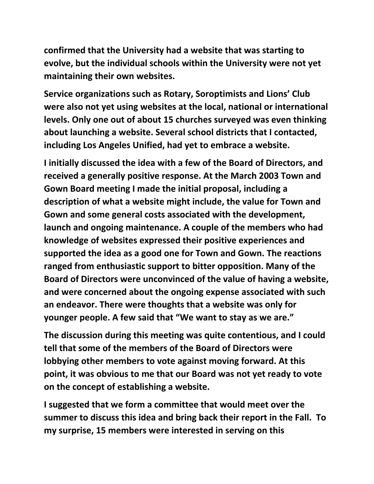**confirmed that the University had a website that was starting to evolve, but the individual schools within the University were not yet maintaining their own websites.** 

**Service organizations such as Rotary, Soroptimists and Lions' Club were also not yet using websites at the local, national or international levels. Only one out of about 15 churches surveyed was even thinking about launching a website. Several school districts that I contacted, including Los Angeles Unified, had yet to embrace a website.** 

**I initially discussed the idea with a few of the Board of Directors, and received a generally positive response. At the March 2003 Town and Gown Board meeting I made the initial proposal, including a description of what a website might include, the value for Town and Gown and some general costs associated with the development, launch and ongoing maintenance. A couple of the members who had knowledge of websites expressed their positive experiences and supported the idea as a good one for Town and Gown. The reactions ranged from enthusiastic support to bitter opposition. Many of the Board of Directors were unconvinced of the value of having a website, and were concerned about the ongoing expense associated with such an endeavor. There were thoughts that a website was only for younger people. A few said that "We want to stay as we are."** 

**The discussion during this meeting was quite contentious, and I could tell that some of the members of the Board of Directors were lobbying other members to vote against moving forward. At this point, it was obvious to me that our Board was not yet ready to vote on the concept of establishing a website.** 

**I suggested that we form a committee that would meet over the summer to discuss this idea and bring back their report in the Fall. To my surprise, 15 members were interested in serving on this**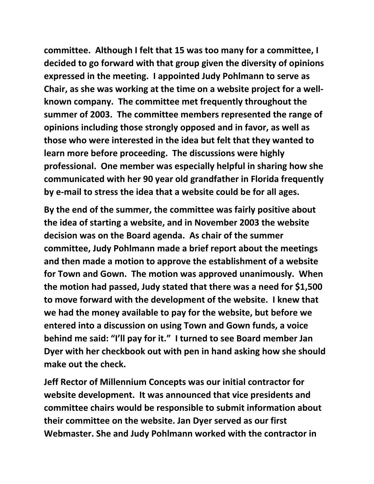**committee. Although I felt that 15 was too many for a committee, I decided to go forward with that group given the diversity of opinions expressed in the meeting. I appointed Judy Pohlmann to serve as Chair, as she was working at the time on a website project for a wellknown company. The committee met frequently throughout the summer of 2003. The committee members represented the range of opinions including those strongly opposed and in favor, as well as those who were interested in the idea but felt that they wanted to learn more before proceeding. The discussions were highly professional. One member was especially helpful in sharing how she communicated with her 90 year old grandfather in Florida frequently by e-mail to stress the idea that a website could be for all ages.** 

**By the end of the summer, the committee was fairly positive about the idea of starting a website, and in November 2003 the website decision was on the Board agenda. As chair of the summer committee, Judy Pohlmann made a brief report about the meetings and then made a motion to approve the establishment of a website for Town and Gown. The motion was approved unanimously. When the motion had passed, Judy stated that there was a need for \$1,500 to move forward with the development of the website. I knew that we had the money available to pay for the website, but before we entered into a discussion on using Town and Gown funds, a voice behind me said: "I'll pay for it." I turned to see Board member Jan Dyer with her checkbook out with pen in hand asking how she should make out the check.** 

**Jeff Rector of Millennium Concepts was our initial contractor for website development. It was announced that vice presidents and committee chairs would be responsible to submit information about their committee on the website. Jan Dyer served as our first Webmaster. She and Judy Pohlmann worked with the contractor in**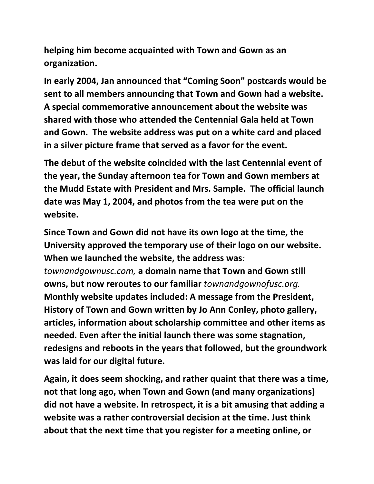**helping him become acquainted with Town and Gown as an organization.** 

**In early 2004, Jan announced that "Coming Soon" postcards would be sent to all members announcing that Town and Gown had a website. A special commemorative announcement about the website was shared with those who attended the Centennial Gala held at Town and Gown. The website address was put on a white card and placed in a silver picture frame that served as a favor for the event.** 

**The debut of the website coincided with the last Centennial event of the year, the Sunday afternoon tea for Town and Gown members at the Mudd Estate with President and Mrs. Sample. The official launch date was May 1, 2004, and photos from the tea were put on the website.** 

**Since Town and Gown did not have its own logo at the time, the University approved the temporary use of their logo on our website. When we launched the website, the address was***: townandgownusc.com,* **a domain name that Town and Gown still owns, but now reroutes to our familiar** *townandgownofusc.org.* **Monthly website updates included: A message from the President, History of Town and Gown written by Jo Ann Conley, photo gallery, articles, information about scholarship committee and other items as needed. Even after the initial launch there was some stagnation, redesigns and reboots in the years that followed, but the groundwork was laid for our digital future.** 

**Again, it does seem shocking, and rather quaint that there was a time, not that long ago, when Town and Gown (and many organizations) did not have a website. In retrospect, it is a bit amusing that adding a website was a rather controversial decision at the time. Just think about that the next time that you register for a meeting online, or**